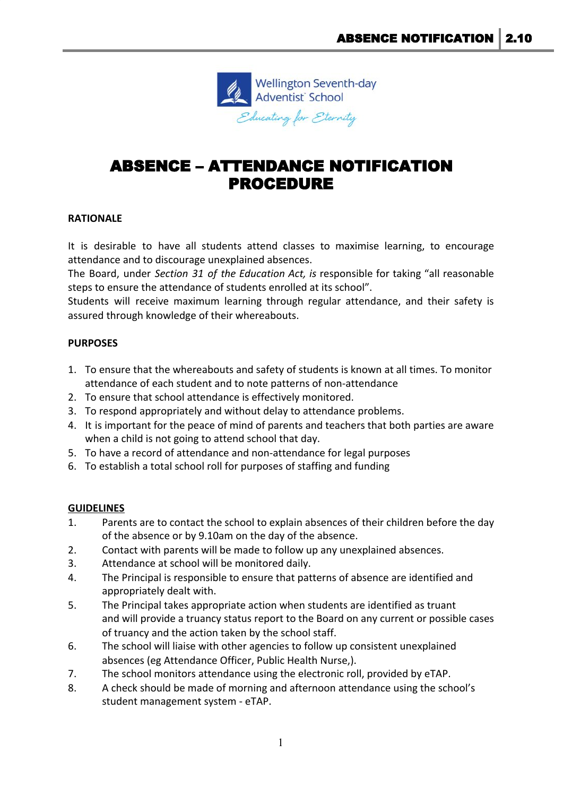

# ABSENCE – ATTENDANCE NOTIFICATION PROCEDURE

# **RATIONALE**

It is desirable to have all students attend classes to maximise learning, to encourage attendance and to discourage unexplained absences.

The Board, under *Section 31 of the Education Act, is* responsible for taking "all reasonable steps to ensure the attendance of students enrolled at its school".

Students will receive maximum learning through regular attendance, and their safety is assured through knowledge of their whereabouts.

# **PURPOSES**

- 1. To ensure that the whereabouts and safety of students is known at all times. To monitor attendance of each student and to note patterns of non-attendance
- 2. To ensure that school attendance is effectively monitored.
- 3. To respond appropriately and without delay to attendance problems.
- 4. It is important for the peace of mind of parents and teachers that both parties are aware when a child is not going to attend school that day.
- 5. To have a record of attendance and non-attendance for legal purposes
- 6. To establish a total school roll for purposes of staffing and funding

### **GUIDELINES**

- 1. Parents are to contact the school to explain absences of their children before the day of the absence or by 9.10am on the day of the absence.
- 2. Contact with parents will be made to follow up any unexplained absences.
- 3. Attendance at school will be monitored daily.
- 4. The Principal is responsible to ensure that patterns of absence are identified and appropriately dealt with.
- 5. The Principal takes appropriate action when students are identified as truant and will provide a truancy status report to the Board on any current or possible cases of truancy and the action taken by the school staff.
- 6. The school will liaise with other agencies to follow up consistent unexplained absences (eg Attendance Officer, Public Health Nurse,).
- 7. The school monitors attendance using the electronic roll, provided by eTAP.
- 8. A check should be made of morning and afternoon attendance using the school's student management system - eTAP.